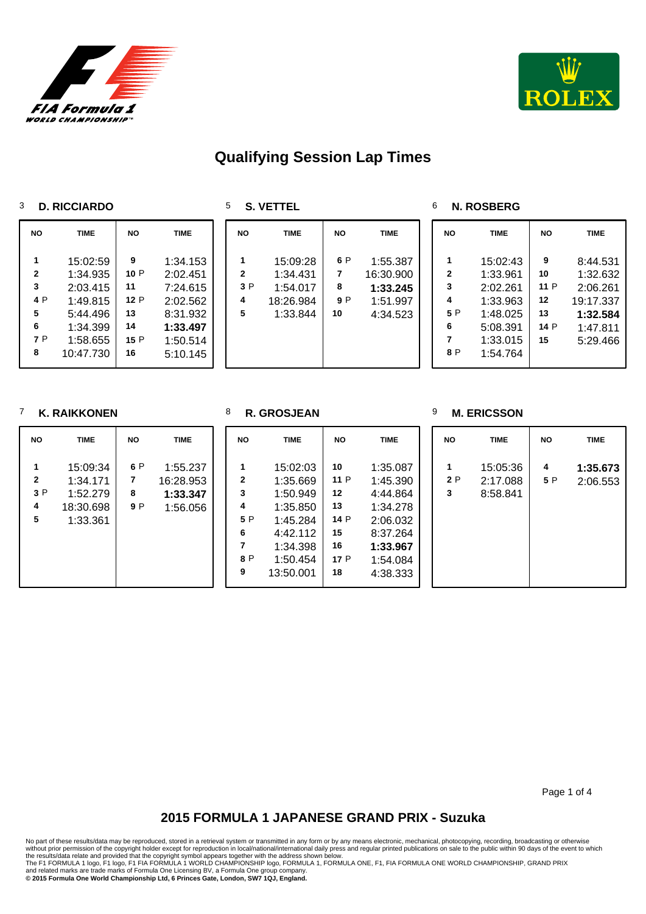

**NO TIME NO TIME** 

 1:34.153 P 2:02.451 7:24.615 P 2:02.562 8:31.932 **1:33.497**

 P 1:50.514 5:10.145



# **Qualifying Session Lap Times**

### **D. RICCIARDO**

 15:02:59 1:34.935 2:03.415 P 1:49.815 5:44.496 **6** 1:34.399<br>**7** P 1:58 655 P 1:58.655 10:47.730

| <b>VETTEL</b><br>z. |  |
|---------------------|--|
|---------------------|--|

| <b>NO</b>    | <b>TIME</b> | <b>NO</b> | <b>TIME</b> |
|--------------|-------------|-----------|-------------|
| 1            | 15:09:28    | 6 P       | 1:55.387    |
| $\mathbf{2}$ | 1:34.431    | 7         | 16:30.900   |
| 3P           | 1:54.017    | 8         | 1:33.245    |
| 4            | 18:26.984   | 9 P       | 1:51.997    |
| 5            | 1:33.844    | 10        | 4:34.523    |

## **N. ROSBERG**

| NΟ                                                  | TIME                                                                                         | NΟ                                        | TIME                                                                              |
|-----------------------------------------------------|----------------------------------------------------------------------------------------------|-------------------------------------------|-----------------------------------------------------------------------------------|
| 1<br>$\mathbf{2}$<br>3<br>4<br>5 P<br>6<br>7<br>8 P | 15:02:43<br>1:33.961<br>2:02.261<br>1:33.963<br>1:48.025<br>5:08.391<br>1:33.015<br>1:54.764 | 9<br>10<br>11 P<br>12<br>13<br>14 P<br>15 | 8:44.531<br>1:32.632<br>2:06.261<br>19:17.337<br>1:32.584<br>1:47.811<br>5:29.466 |

### **K. RAIKKONEN**

#### **R. GROSJEAN**

### **M. ERICSSON**

| <b>NO</b>               | <b>TIME</b>                                               | <b>NO</b>       | <b>TIME</b>                                   | <b>NO</b>                                                | <b>TIME</b>                                                                                               | <b>NO</b>                                                | <b>TIME</b>                                                                                              | <b>NO</b> | <b>TIME</b>                      | <b>NO</b> | <b>TIME</b>          |
|-------------------------|-----------------------------------------------------------|-----------------|-----------------------------------------------|----------------------------------------------------------|-----------------------------------------------------------------------------------------------------------|----------------------------------------------------------|----------------------------------------------------------------------------------------------------------|-----------|----------------------------------|-----------|----------------------|
| 1<br>2<br>3 P<br>4<br>5 | 15:09:34<br>1:34.171<br>1:52.279<br>18:30.698<br>1:33.361 | 6 P<br>8<br>9 P | 1:55.237<br>16:28.953<br>1:33.347<br>1:56.056 | 1<br>$\mathbf{2}$<br>3<br>4<br>5 P<br>6<br>7<br>8 P<br>9 | 15:02:03<br>1:35.669<br>1:50.949<br>1:35.850<br>1:45.284<br>4:42.112<br>1:34.398<br>1:50.454<br>13:50.001 | 10<br>11 P<br>12<br>13<br>14 P<br>15<br>16<br>17 P<br>18 | 1:35.087<br>1:45.390<br>4:44.864<br>1:34.278<br>2:06.032<br>8:37.264<br>1:33.967<br>1:54.084<br>4:38.333 | 2 P<br>3  | 15:05:36<br>2:17.088<br>8:58.841 | 4<br>5 P  | 1:35.673<br>2:06.553 |

Page 1 of 4

# **2015 FORMULA 1 JAPANESE GRAND PRIX - Suzuka**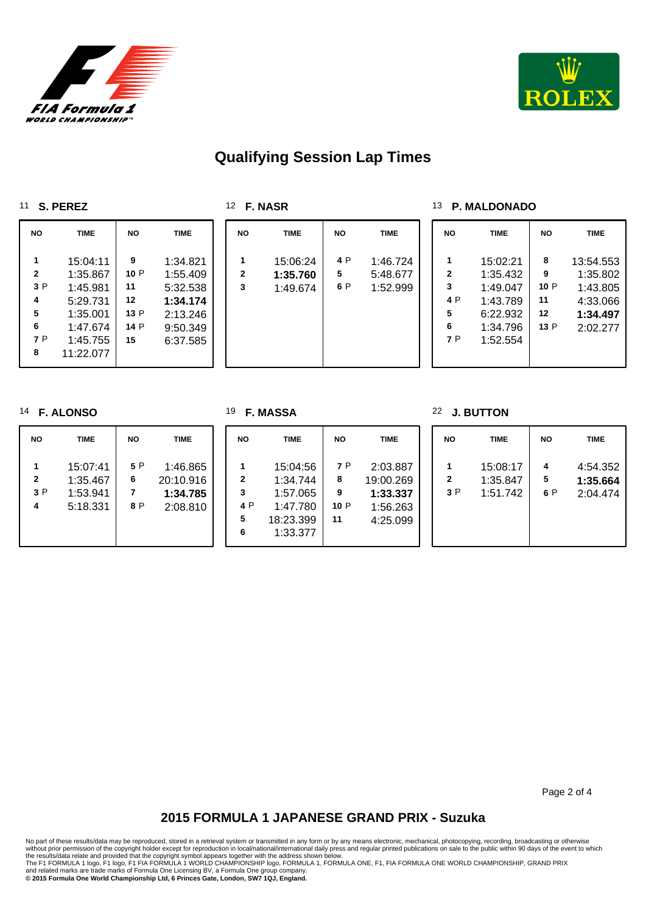



# **Qualifying Session Lap Times**

**F. NASR**

**F. MASSA**

#### **S. PEREZ**

| <b>NO</b>               | <b>TIME</b>                      | <b>NO</b>       | <b>TIME</b>                      |
|-------------------------|----------------------------------|-----------------|----------------------------------|
| 1<br>$\mathbf{2}$<br>3P | 15:04:11<br>1:35.867<br>1:45.981 | 9<br>10 P<br>11 | 1:34.821<br>1:55.409<br>5:32.538 |
| 4                       | 5:29.731                         | 12              | 1:34.174                         |
| 5<br>6                  | 1:35.001<br>1:47.674             | 13 P<br>14 P    | 2:13.246<br>9:50.349             |
| 7 P<br>8                | 1:45.755<br>11:22.077            | 15              | 6:37.585                         |

| <b>NO</b>    | <b>TIME</b> | <b>NO</b> | <b>TIME</b> |
|--------------|-------------|-----------|-------------|
| 1            | 15:06:24    | 4 P       | 1:46.724    |
| $\mathbf{2}$ | 1:35.760    | 5         | 5:48.677    |
| 3            | 1:49.674    | 6 P       | 1:52.999    |

### **P. MALDONADO**

**J. BUTTON**

| <b>NO</b>                                      | TIME                                                                             | <b>NO</b>                         | <b>TIME</b>                                                           |
|------------------------------------------------|----------------------------------------------------------------------------------|-----------------------------------|-----------------------------------------------------------------------|
| 1<br>$\mathbf{2}$<br>3<br>4 P<br>5<br>6<br>7 P | 15:02:21<br>1:35.432<br>1:49.047<br>1:43.789<br>6:22.932<br>1:34.796<br>1:52.554 | 8<br>9<br>10 P<br>11<br>12<br>13P | 13:54.553<br>1:35.802<br>1:43.805<br>4:33.066<br>1:34.497<br>2:02.277 |

### **F. ALONSO**

| <b>NO</b>    | <b>TIME</b>                                  | <b>NO</b>       | <b>TIME</b>                                   | <b>NO</b>                          | <b>TIME</b>                                                           | <b>NO</b>                  | <b>TIME</b>                                               | <b>NO</b> | <b>TIME</b>                      | <b>NO</b>     | <b>TIME</b>                      |
|--------------|----------------------------------------------|-----------------|-----------------------------------------------|------------------------------------|-----------------------------------------------------------------------|----------------------------|-----------------------------------------------------------|-----------|----------------------------------|---------------|----------------------------------|
| 2<br>3P<br>4 | 15:07:41<br>1:35.467<br>1:53.941<br>5:18.331 | 5 P<br>6<br>8 P | 1:46.865<br>20:10.916<br>1:34.785<br>2:08.810 | $\mathbf{2}$<br>3<br>4 P<br>5<br>6 | 15:04:56<br>1:34.744<br>1:57.065<br>1:47.780<br>18:23.399<br>1:33.377 | 7 P<br>8<br>9<br>10P<br>11 | 2:03.887<br>19:00.269<br>1:33.337<br>1:56.263<br>4:25.099 | 2<br>3P   | 15:08:17<br>1:35.847<br>1:51.742 | 4<br>5<br>6 P | 4:54.352<br>1:35.664<br>2:04.474 |

Page 2 of 4

# **2015 FORMULA 1 JAPANESE GRAND PRIX - Suzuka**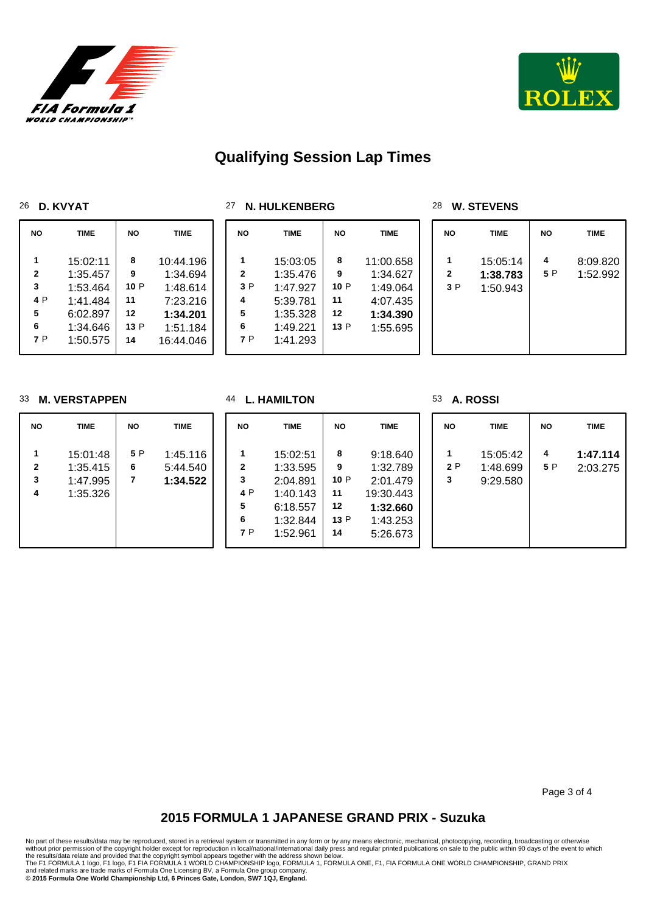



# **Qualifying Session Lap Times**

### **D. KVYAT**

| 27 N. HULKENBERG |  |  |  |
|------------------|--|--|--|
|------------------|--|--|--|

### **W. STEVENS**

| <b>NO</b>                      | <b>TIME</b>                                                                      | <b>NO</b>                              | <b>TIME</b>                                                                        | <b>NO</b>                      | <b>TIME</b>                                                                      | <b>NO</b>                         | <b>TIME</b>                                                           | <b>NO</b> | <b>TIME</b>                      | <b>NO</b> | <b>TIME</b>          |
|--------------------------------|----------------------------------------------------------------------------------|----------------------------------------|------------------------------------------------------------------------------------|--------------------------------|----------------------------------------------------------------------------------|-----------------------------------|-----------------------------------------------------------------------|-----------|----------------------------------|-----------|----------------------|
| 2<br>3<br>4 P<br>5<br>6<br>7 P | 15:02:11<br>1:35.457<br>1:53.464<br>1:41.484<br>6:02.897<br>1:34.646<br>1:50.575 | 8<br>9<br>10P<br>11<br>12<br>13P<br>14 | 10:44.196<br>1:34.694<br>1:48.614<br>7:23.216<br>1:34.201<br>1:51.184<br>16:44.046 | 2<br>3 P<br>4<br>5<br>6<br>7 P | 15:03:05<br>1:35.476<br>1:47.927<br>5:39.781<br>1:35.328<br>1:49.221<br>1:41.293 | 8<br>9<br>10 P<br>11<br>12<br>13P | 11:00.658<br>1:34.627<br>1:49.064<br>4:07.435<br>1:34.390<br>1:55.695 | 2<br>3 P  | 15:05:14<br>1:38.783<br>1:50.943 | 4<br>5 P  | 8:09.820<br>1:52.992 |

### **M. VERSTAPPEN**

**L. HAMILTON**

### **A. ROSSI**

| <b>NO</b>   | <b>TIME</b>                                  | <b>NO</b>     | <b>TIME</b>                      | <b>NO</b>                                 | <b>TIME</b>                                                                      | <b>NO</b>                               | <b>TIME</b>                                                                       | <b>NO</b> | <b>TIME</b>                      | <b>NO</b> | <b>TIME</b>          |
|-------------|----------------------------------------------|---------------|----------------------------------|-------------------------------------------|----------------------------------------------------------------------------------|-----------------------------------------|-----------------------------------------------------------------------------------|-----------|----------------------------------|-----------|----------------------|
| 2<br>3<br>4 | 15:01:48<br>1:35.415<br>1:47.995<br>1:35.326 | 5 P<br>6<br>7 | 1:45.116<br>5:44.540<br>1:34.522 | $\mathbf{2}$<br>3<br>4 P<br>5<br>6<br>7 P | 15:02:51<br>1:33.595<br>2:04.891<br>1:40.143<br>6:18.557<br>1:32.844<br>1:52.961 | 8<br>9<br>10P<br>11<br>12<br>13 P<br>14 | 9:18.640<br>1:32.789<br>2:01.479<br>19:30.443<br>1:32.660<br>1:43.253<br>5:26.673 | 2 P<br>3  | 15:05:42<br>1:48.699<br>9:29.580 | 4<br>5 P  | 1:47.114<br>2:03.275 |

Page 3 of 4

# **2015 FORMULA 1 JAPANESE GRAND PRIX - Suzuka**